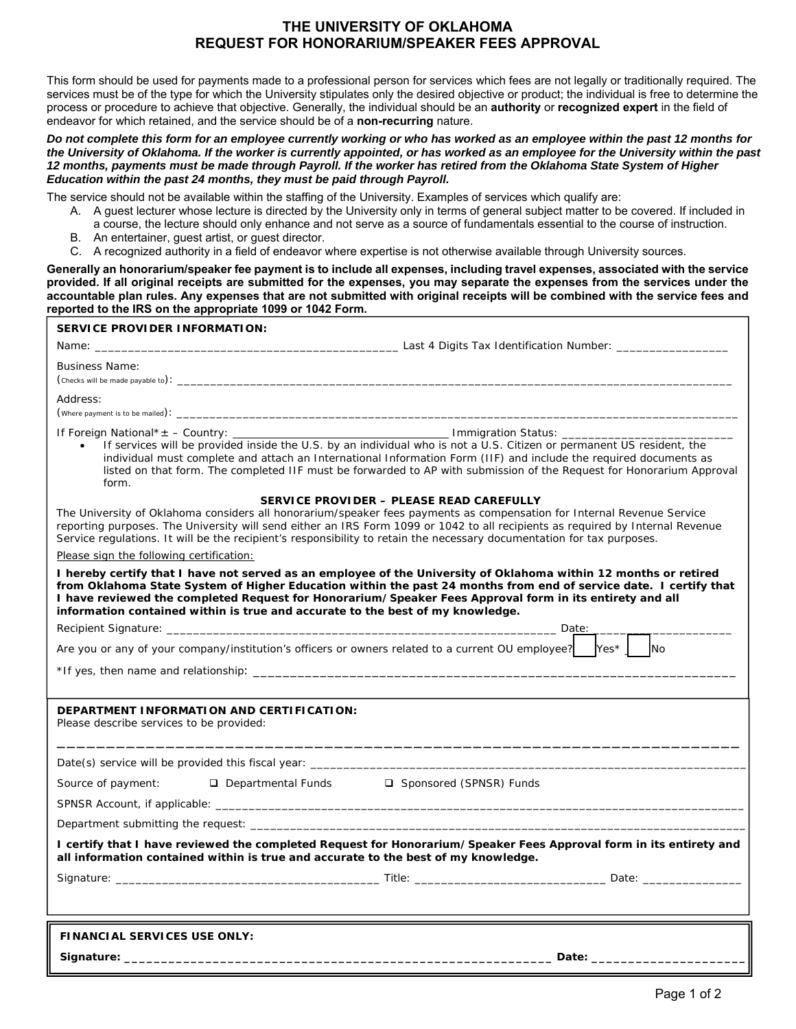### **THE UNIVERSITY OF OKLAHOMA REQUEST FOR HONORARIUM/SPEAKER FEES APPROVAL**

This form should be used for payments made to a professional person for services which fees are not legally or traditionally required. The services must be of the type for which the University stipulates only the desired objective or product; the individual is free to determine the process or procedure to achieve that objective. Generally, the individual should be an **authority** or **recognized expert** in the field of endeavor for which retained, and the service should be of a **non-recurring** nature.

#### *Do not complete this form for an employee currently working or who has worked as an employee within the past 12 months for the University of Oklahoma. If the worker is currently appointed, or has worked as an employee for the University within the past 12 months, payments must be made through Payroll. If the worker has retired from the Oklahoma State System of Higher Education within the past 24 months, they must be paid through Payroll.*

The service should not be available within the staffing of the University. Examples of services which qualify are:

- A. A guest lecturer whose lecture is directed by the University only in terms of general subject matter to be covered. If included in a course, the lecture should only enhance and not serve as a source of fundamentals essential to the course of instruction.
- B. An entertainer, guest artist, or guest director.
- C. A recognized authority in a field of endeavor where expertise is not otherwise available through University sources.

**Generally an honorarium/speaker fee payment is to include all expenses, including travel expenses, associated with the service provided. If all original receipts are submitted for the expenses, you may separate the expenses from the services under the accountable plan rules. Any expenses that are not submitted with original receipts will be combined with the service fees and reported to the IRS on the appropriate 1099 or 1042 Form.** 

| <b>SERVICE PROVIDER INFORMATION:</b>                                                                                                                                                                                                                                                                                                                                                                                               |  |  |  |  |
|------------------------------------------------------------------------------------------------------------------------------------------------------------------------------------------------------------------------------------------------------------------------------------------------------------------------------------------------------------------------------------------------------------------------------------|--|--|--|--|
| Name: __                                                                                                                                                                                                                                                                                                                                                                                                                           |  |  |  |  |
| <b>Business Name:</b>                                                                                                                                                                                                                                                                                                                                                                                                              |  |  |  |  |
| Address:                                                                                                                                                                                                                                                                                                                                                                                                                           |  |  |  |  |
| If services will be provided inside the U.S. by an individual who is not a U.S. Citizen or permanent US resident, the<br>$\bullet$<br>individual must complete and attach an International Information Form (IIF) and include the required documents as<br>listed on that form. The completed IIF must be forwarded to AP with submission of the Request for Honorarium Approval<br>form.                                          |  |  |  |  |
| SERVICE PROVIDER - PLEASE READ CAREFULLY                                                                                                                                                                                                                                                                                                                                                                                           |  |  |  |  |
| The University of Oklahoma considers all honorarium/speaker fees payments as compensation for Internal Revenue Service<br>reporting purposes. The University will send either an IRS Form 1099 or 1042 to all recipients as required by Internal Revenue<br>Service regulations. It will be the recipient's responsibility to retain the necessary documentation for tax purposes.                                                 |  |  |  |  |
| Please sign the following certification:                                                                                                                                                                                                                                                                                                                                                                                           |  |  |  |  |
| I hereby certify that I have not served as an employee of the University of Oklahoma within 12 months or retired<br>from Oklahoma State System of Higher Education within the past 24 months from end of service date. I certify that<br>I have reviewed the completed Request for Honorarium/Speaker Fees Approval form in its entirety and all<br>information contained within is true and accurate to the best of my knowledge. |  |  |  |  |
|                                                                                                                                                                                                                                                                                                                                                                                                                                    |  |  |  |  |
| Are you or any of your company/institution's officers or owners related to a current OU employee?<br>$Yes*$<br><b>INO</b>                                                                                                                                                                                                                                                                                                          |  |  |  |  |
|                                                                                                                                                                                                                                                                                                                                                                                                                                    |  |  |  |  |
| DEPARTMENT INFORMATION AND CERTIFICATION:<br>Please describe services to be provided:                                                                                                                                                                                                                                                                                                                                              |  |  |  |  |
|                                                                                                                                                                                                                                                                                                                                                                                                                                    |  |  |  |  |
| □ Sponsored (SPNSR) Funds<br>Source of payment:<br>$\Box$ Departmental Funds                                                                                                                                                                                                                                                                                                                                                       |  |  |  |  |
|                                                                                                                                                                                                                                                                                                                                                                                                                                    |  |  |  |  |
|                                                                                                                                                                                                                                                                                                                                                                                                                                    |  |  |  |  |
| I certify that I have reviewed the completed Request for Honorarium/Speaker Fees Approval form in its entirety and<br>all information contained within is true and accurate to the best of my knowledge.                                                                                                                                                                                                                           |  |  |  |  |
|                                                                                                                                                                                                                                                                                                                                                                                                                                    |  |  |  |  |
|                                                                                                                                                                                                                                                                                                                                                                                                                                    |  |  |  |  |
| <b>FINANCIAL SERVICES USE ONLY:</b>                                                                                                                                                                                                                                                                                                                                                                                                |  |  |  |  |
| Date: ______________                                                                                                                                                                                                                                                                                                                                                                                                               |  |  |  |  |